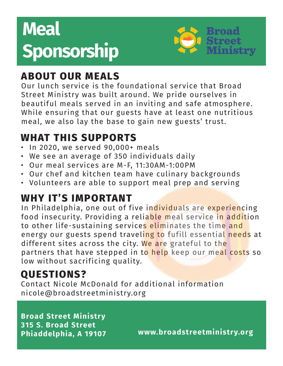# **Meal Sponsorship**



## **ABOUT OUR MEALS**

Our lunch service is the foundational service that Broad Street Ministry was built around. We pride ourselves in beautiful meals served in an inviting and safe atmosphere. While ensuring that our guests have at least one nutritious meal, we also lay the base to gain new guests' trust.

# **WHAT THIS SUPPORTS**

- In 2020, we served 90,000+ meals
- We see an average of 350 individuals daily
- Our meal services are M-F, 11:30AM-1:00PM
- Our chef and kitchen team have culinary backgrounds
- Volunteers are able to support meal prep and serving

#### **WHY IT'S IMPORTANT**

In Philadelphia, one out of five individuals are experiencing food insecurity. Providing a reliable meal service in addition to other life-sustaining services eliminates the time and energy our guests spend traveling to fufill essential needs at different sites across the city. We are grateful to the partners that have stepped in to help keep our meal costs so low without sacrificing quality.

## **QUESTIONS?**

Contact Nicole McDonald for additional information nicole@broadstreetministry.org

**Broad Street Ministry 315 S. Broad Street**

**Phiaddelphia, A 19107 www.broadstreetministry.org**